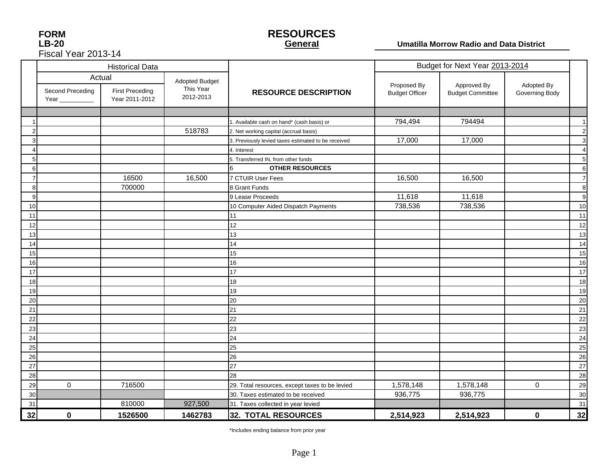| <b>FORM</b>         |
|---------------------|
| LB-20               |
| Fiscal Year 2013-14 |

#### **RESOURCES General**

#### **Umatilla Morrow Radio and Data District**

|    |                  | <b>Historical Data</b>                             |                                          |                                                     |                                      | Budget for Next Year 2013-2014         |                              |                |
|----|------------------|----------------------------------------------------|------------------------------------------|-----------------------------------------------------|--------------------------------------|----------------------------------------|------------------------------|----------------|
|    | Second Preceding | Actual<br><b>First Preceding</b><br>Year 2011-2012 | Adopted Budget<br>This Year<br>2012-2013 | <b>RESOURCE DESCRIPTION</b>                         | Proposed By<br><b>Budget Officer</b> | Approved By<br><b>Budget Committee</b> | Adopted By<br>Governing Body |                |
|    |                  |                                                    |                                          |                                                     |                                      |                                        |                              |                |
|    |                  |                                                    |                                          | 1. Available cash on hand* (cash basis) or          | 794,494                              | 794494                                 |                              | $\overline{1}$ |
|    |                  |                                                    | 518783                                   | 2. Net working capital (accrual basis)              |                                      |                                        |                              | $\overline{c}$ |
|    |                  |                                                    |                                          | 3. Previously levied taxes estimated to be received | 17,000                               | 17,000                                 |                              | 3              |
|    |                  |                                                    |                                          | 4. Interest                                         |                                      |                                        |                              | $\overline{4}$ |
|    |                  |                                                    |                                          | 5. Transferred IN, from other funds                 |                                      |                                        |                              | 5              |
| 6  |                  |                                                    |                                          | <b>OTHER RESOURCES</b><br>6                         |                                      |                                        |                              | 6              |
|    |                  | 16500                                              | 16,500                                   | 7 CTUIR User Fees                                   | 16,500                               | 16,500                                 |                              | $\overline{7}$ |
| 8  |                  | 700000                                             |                                          | 8 Grant Funds                                       |                                      |                                        |                              | 8              |
| 9  |                  |                                                    |                                          | 9 Lease Proceeds                                    | 11,618                               | 11,618                                 |                              | 9              |
| 10 |                  |                                                    |                                          | 10 Computer Aided Dispatch Payments                 | 738,536                              | 738,536                                |                              | 10             |
| 11 |                  |                                                    |                                          | 11                                                  |                                      |                                        |                              | 11             |
| 12 |                  |                                                    |                                          | 12                                                  |                                      |                                        |                              | 12             |
| 13 |                  |                                                    |                                          | 13                                                  |                                      |                                        |                              | 13             |
| 14 |                  |                                                    |                                          | 14                                                  |                                      |                                        |                              | 14             |
| 15 |                  |                                                    |                                          | 15                                                  |                                      |                                        |                              | 15             |
| 16 |                  |                                                    |                                          | 16                                                  |                                      |                                        |                              | 16             |
| 17 |                  |                                                    |                                          | 17                                                  |                                      |                                        |                              | 17             |
| 18 |                  |                                                    |                                          | 18                                                  |                                      |                                        |                              | 18             |
| 19 |                  |                                                    |                                          | 19                                                  |                                      |                                        |                              | 19             |
| 20 |                  |                                                    |                                          | 20                                                  |                                      |                                        |                              | 20             |
| 21 |                  |                                                    |                                          | 21                                                  |                                      |                                        |                              | 21             |
| 22 |                  |                                                    |                                          | 22                                                  |                                      |                                        |                              | 22             |
| 23 |                  |                                                    |                                          | 23                                                  |                                      |                                        |                              | 23             |
| 24 |                  |                                                    |                                          | 24                                                  |                                      |                                        |                              | 24             |
| 25 |                  |                                                    |                                          | 25                                                  |                                      |                                        |                              | 25             |
| 26 |                  |                                                    |                                          | 26                                                  |                                      |                                        |                              | 26             |
| 27 |                  |                                                    |                                          | 27                                                  |                                      |                                        |                              | 27             |
| 28 |                  |                                                    |                                          | 28                                                  |                                      |                                        |                              | 28             |
| 29 | $\mathbf 0$      | 716500                                             |                                          | 29. Total resources, except taxes to be levied      | 1,578,148                            | 1,578,148                              | $\mathbf 0$                  | 29             |
| 30 |                  |                                                    |                                          | 30. Taxes estimated to be received                  | 936,775                              | 936,775                                |                              | 30             |
| 31 |                  | 810000                                             | 927,500                                  | 31. Taxes collected in year levied                  |                                      |                                        |                              | 31             |
| 32 | $\bf{0}$         | 1526500                                            | 1462783                                  | 32. TOTAL RESOURCES                                 | 2,514,923                            | 2,514,923                              | $\bf{0}$                     | 32             |

\*Includes ending balance from prior year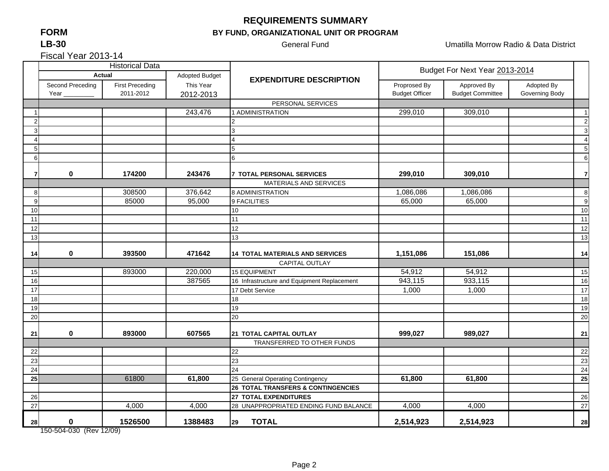## **FORMLB-30**

## **REQUIREMENTS SUMMARY**

## **BY FUND, ORGANIZATIONAL UNIT OR PROGRAM**

General Fund **Contract Contract Contract Contract Contract Contract Contract Contract Contract Contract Contract Contract Contract Contract Contract Contract Contract Contract Contract Contract Contract Contract Contract C** 

Fiscal Year 2013-14

|                 |                  | <b>Historical Data</b> |                       |                                             | Budget For Next Year 2013-2014 |                         |                |                         |
|-----------------|------------------|------------------------|-----------------------|---------------------------------------------|--------------------------------|-------------------------|----------------|-------------------------|
|                 | <b>Actual</b>    |                        | <b>Adopted Budget</b> | <b>EXPENDITURE DESCRIPTION</b>              |                                |                         |                |                         |
|                 | Second Preceding | <b>First Preceding</b> | This Year             |                                             | Proprosed By                   | Approved By             | Adopted By     |                         |
|                 | Year             | 2011-2012              | 2012-2013             |                                             | <b>Budget Officer</b>          | <b>Budget Committee</b> | Governing Body |                         |
|                 |                  |                        |                       | PERSONAL SERVICES                           |                                |                         |                |                         |
|                 |                  |                        | 243,476               | 1 ADMINISTRATION                            | 299,010                        | 309,010                 |                | $\overline{1}$          |
| $\mathcal{P}$   |                  |                        |                       |                                             |                                |                         |                | $\overline{c}$          |
| 3               |                  |                        |                       |                                             |                                |                         |                | 3                       |
| $\Delta$        |                  |                        |                       |                                             |                                |                         |                | $\overline{\mathbf{4}}$ |
| 5               |                  |                        |                       |                                             |                                |                         |                | $\sqrt{5}$              |
| 6               |                  |                        |                       | 6                                           |                                |                         |                | $6\phantom{1}6$         |
| 7               | $\mathbf 0$      | 174200                 | 243476                | <b>7 TOTAL PERSONAL SERVICES</b>            | 299,010                        | 309,010                 |                | $\overline{7}$          |
|                 |                  |                        |                       | MATERIALS AND SERVICES                      |                                |                         |                |                         |
| 8               |                  | 308500                 | 376,642               | 8 ADMINISTRATION                            | 1,086,086                      | 1,086,086               |                | 8                       |
| 9               |                  | 85000                  | 95,000                | 9 FACILITIES                                | 65,000                         | 65,000                  |                | 9                       |
| 10              |                  |                        |                       | 10                                          |                                |                         |                | 10                      |
| 11              |                  |                        |                       | 11                                          |                                |                         |                | 11                      |
| 12              |                  |                        |                       | 12                                          |                                |                         |                | 12                      |
| 13              |                  |                        |                       | 13                                          |                                |                         |                | 13                      |
|                 |                  |                        |                       |                                             |                                |                         |                |                         |
| 14              | $\pmb{0}$        | 393500                 | 471642                | <b>14 TOTAL MATERIALS AND SERVICES</b>      | 1,151,086                      | 151,086                 |                | 14                      |
|                 |                  |                        |                       | <b>CAPITAL OUTLAY</b>                       |                                |                         |                |                         |
| 15              |                  | 893000                 | 220,000               | <b>15 EQUIPMENT</b>                         | 54,912                         | 54,912                  |                | 15                      |
| 16              |                  |                        | 387565                | 16 Infrastructure and Equipment Replacement | 943,115                        | 933,115                 |                | 16                      |
| 17              |                  |                        |                       | 17 Debt Service                             | 1,000                          | 1,000                   |                | 17                      |
| 18              |                  |                        |                       | 18                                          |                                |                         |                | 18                      |
| 19              |                  |                        |                       | 19                                          |                                |                         |                | 19                      |
| 20              |                  |                        |                       | 20                                          |                                |                         |                | 20                      |
| 21              | 0                | 893000                 | 607565                | 21 TOTAL CAPITAL OUTLAY                     | 999,027                        | 989,027                 |                | 21                      |
|                 |                  |                        |                       | TRANSFERRED TO OTHER FUNDS                  |                                |                         |                |                         |
| 22              |                  |                        |                       | 22                                          |                                |                         |                | 22                      |
| 23              |                  |                        |                       | 23                                          |                                |                         |                | 23                      |
| 24              |                  |                        |                       | 24                                          |                                |                         |                | 24                      |
| 25              |                  | 61800                  | 61,800                | 25 General Operating Contingency            | 61,800                         | 61,800                  |                | 25                      |
|                 |                  |                        |                       | 26 TOTAL TRANSFERS & CONTINGENCIES          |                                |                         |                |                         |
| 26              |                  |                        |                       | <b>27 TOTAL EXPENDITURES</b>                |                                |                         |                | 26                      |
| $\overline{27}$ |                  | 4,000                  | 4,000                 | 28 UNAPPROPRIATED ENDING FUND BALANCE       | 4,000                          | 4,000                   |                | 27                      |
| 28              | $\bf{0}$         | 1526500                | 1388483               | <b>TOTAL</b><br>29                          | 2,514,923                      | 2,514,923               |                | 28                      |

150-504-030 (Rev 12/09)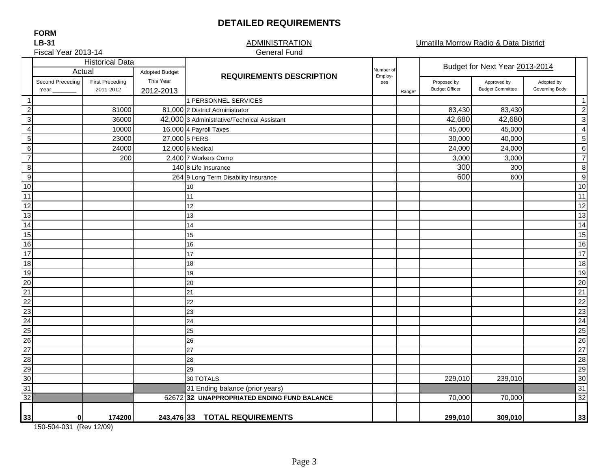## **DETAILED REQUIREMENTS**

**FORMLB-31**

#### **ADMINISTRATION** General Fund

Umatilla Morrow Radio & Data District

|                                                                                                                  | Fiscal Year 2013-14      |                                     |                        | <b>General Fund</b>                         |           |        |                                      |                                        |                              |                          |
|------------------------------------------------------------------------------------------------------------------|--------------------------|-------------------------------------|------------------------|---------------------------------------------|-----------|--------|--------------------------------------|----------------------------------------|------------------------------|--------------------------|
|                                                                                                                  |                          | <b>Historical Data</b>              |                        |                                             | Number of |        |                                      | Budget for Next Year 2013-2014         |                              |                          |
|                                                                                                                  | Actual                   |                                     | <b>Adopted Budget</b>  | <b>REQUIREMENTS DESCRIPTION</b>             | Employ-   |        |                                      |                                        |                              |                          |
|                                                                                                                  | Second Preceding<br>Year | <b>First Preceding</b><br>2011-2012 | This Year<br>2012-2013 |                                             | ees       | Range* | Proposed by<br><b>Budget Officer</b> | Approved by<br><b>Budget Committee</b> | Adopted by<br>Governing Body |                          |
| $\overline{1}$                                                                                                   |                          |                                     |                        | 1 PERSONNEL SERVICES                        |           |        |                                      |                                        |                              | $\overline{\phantom{1}}$ |
| $\boldsymbol{2}$                                                                                                 |                          | 81000                               |                        | 81,000 2 District Administrator             |           |        | 83,430                               | 83,430                                 |                              | $\overline{c}$           |
| $\mathbf{3}$                                                                                                     |                          | 36000                               |                        | 42,000 3 Administrative/Technical Assistant |           |        | 42,680                               | 42,680                                 |                              | 3                        |
| $\overline{4}$                                                                                                   |                          | 10000                               |                        | 16,000 4 Payroll Taxes                      |           |        | 45,000                               | 45,000                                 |                              | $\overline{4}$           |
| $\sqrt{5}$                                                                                                       |                          | 23000                               | 27,000 5 PERS          |                                             |           |        | 30,000                               | 40,000                                 |                              | 5                        |
| $\,6\,$                                                                                                          |                          | 24000                               |                        | 12,000 6 Medical                            |           |        | 24,000                               | 24,000                                 |                              | $6\phantom{1}6$          |
| $\overline{7}$                                                                                                   |                          | 200                                 |                        | 2,400 7 Workers Comp                        |           |        | 3,000                                | 3,000                                  |                              | $\overline{7}$           |
| $\boldsymbol{8}$                                                                                                 |                          |                                     |                        | 140 8 Life Insurance                        |           |        | 300                                  | 300                                    |                              | 8                        |
| $\boldsymbol{9}$                                                                                                 |                          |                                     |                        | 264 9 Long Term Disability Insurance        |           |        | 600                                  | 600                                    |                              | 9                        |
| 10                                                                                                               |                          |                                     |                        | 10                                          |           |        |                                      |                                        |                              | 10                       |
| 11                                                                                                               |                          |                                     |                        | 11                                          |           |        |                                      |                                        |                              | 11                       |
| 12                                                                                                               |                          |                                     |                        | 12                                          |           |        |                                      |                                        |                              | 12                       |
| 13                                                                                                               |                          |                                     |                        | 13                                          |           |        |                                      |                                        |                              | 13                       |
| 14                                                                                                               |                          |                                     |                        | 14                                          |           |        |                                      |                                        |                              | 14                       |
| 15                                                                                                               |                          |                                     |                        | 15                                          |           |        |                                      |                                        |                              | 15                       |
| $\frac{1}{16}$                                                                                                   |                          |                                     |                        | 16                                          |           |        |                                      |                                        |                              | 16                       |
| 17                                                                                                               |                          |                                     |                        | 17                                          |           |        |                                      |                                        |                              | 17                       |
| 18                                                                                                               |                          |                                     |                        | 18                                          |           |        |                                      |                                        |                              | 18                       |
| 19                                                                                                               |                          |                                     |                        | 19                                          |           |        |                                      |                                        |                              | 19                       |
| 20                                                                                                               |                          |                                     |                        | 20                                          |           |        |                                      |                                        |                              | 20                       |
| $\overline{21}$                                                                                                  |                          |                                     |                        | 21                                          |           |        |                                      |                                        |                              | 21                       |
| 22                                                                                                               |                          |                                     |                        | 22                                          |           |        |                                      |                                        |                              | $\overline{22}$          |
| 23                                                                                                               |                          |                                     |                        | 23                                          |           |        |                                      |                                        |                              | 23                       |
| 24                                                                                                               |                          |                                     |                        | 24                                          |           |        |                                      |                                        |                              | 24                       |
|                                                                                                                  |                          |                                     |                        | 25                                          |           |        |                                      |                                        |                              | 25                       |
|                                                                                                                  |                          |                                     |                        | 26                                          |           |        |                                      |                                        |                              | 26                       |
|                                                                                                                  |                          |                                     |                        | 27                                          |           |        |                                      |                                        |                              | $\overline{27}$          |
|                                                                                                                  |                          |                                     |                        | 28                                          |           |        |                                      |                                        |                              | 28                       |
|                                                                                                                  |                          |                                     |                        | 29                                          |           |        |                                      |                                        |                              | 29                       |
| $\begin{array}{r}\n 25 \\ \hline\n 26 \\ \hline\n 27 \\ \hline\n 28 \\ \hline\n 30 \\ \hline\n 31\n \end{array}$ |                          |                                     |                        | 30 TOTALS                                   |           |        | 229,010                              | 239,010                                |                              | 30                       |
|                                                                                                                  |                          |                                     |                        | 31 Ending balance (prior years)             |           |        |                                      |                                        |                              | 31                       |
| 32                                                                                                               |                          |                                     |                        | 62672 32 UNAPPROPRIATED ENDING FUND BALANCE |           |        | 70,000                               | 70,000                                 |                              | 32                       |
|                                                                                                                  |                          |                                     |                        |                                             |           |        |                                      |                                        |                              |                          |
| 33                                                                                                               | 0                        | 174200                              |                        | 243,476 33 TOTAL REQUIREMENTS               |           |        | 299,010                              | 309,010                                |                              | 33                       |

150-504-031 (Rev 12/09)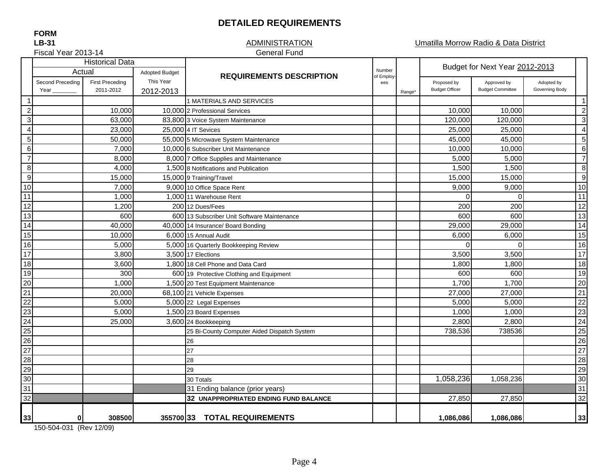#### **DETAILED REQUIREMENTS**

#### **ADMINISTRATION** General Fund

Umatilla Morrow Radio & Data District

Fiscal Year 2013-14

|                           | <b>Historical Data</b> |                        |                       |                                             |                      |                    | Budget for Next Year 2012-2013 |                         |                |                       |
|---------------------------|------------------------|------------------------|-----------------------|---------------------------------------------|----------------------|--------------------|--------------------------------|-------------------------|----------------|-----------------------|
|                           | Actual                 |                        | <b>Adopted Budget</b> | <b>REQUIREMENTS DESCRIPTION</b>             | Number<br>of Employ- |                    |                                |                         |                |                       |
|                           | Second Preceding       | <b>First Preceding</b> | This Year             |                                             | ees                  |                    | Proposed by                    | Approved by             | Adopted by     |                       |
|                           | Year                   | 2011-2012              | 2012-2013             |                                             |                      | Range <sup>*</sup> | <b>Budget Officer</b>          | <b>Budget Committee</b> | Governing Body |                       |
| $\mathbf 1$               |                        |                        |                       | 1 MATERIALS AND SERVICES                    |                      |                    |                                |                         |                | -1                    |
| $\boldsymbol{2}$          |                        | 10,000                 |                       | 10,000 2 Professional Services              |                      |                    | 10,000                         | 10,000                  |                | $\overline{2}$        |
| $\ensuremath{\mathsf{3}}$ |                        | 63,000                 |                       | 83,800 3 Voice System Maintenance           |                      |                    | 120,000                        | 120,000                 |                | 3                     |
| $\overline{4}$            |                        | 23,000                 |                       | 25,000 4 IT Sevices                         |                      |                    | 25,000                         | 25,000                  |                | $\boldsymbol{\Delta}$ |
| $\sqrt{5}$                |                        | 50,000                 |                       | 55,000 5 Microwave System Maintenance       |                      |                    | 45,000                         | 45,000                  |                | 5                     |
| $\,6\,$                   |                        | 7,000                  |                       | 10,000 6 Subscriber Unit Maintenance        |                      |                    | 10,000                         | 10,000                  |                | 6                     |
| $\overline{7}$            |                        | 8,000                  |                       | 8,000 7 Office Supplies and Maintenance     |                      |                    | 5,000                          | 5,000                   |                | -7                    |
| $\infty$                  |                        | 4,000                  |                       | 1.500 8 Notifications and Publication       |                      |                    | 1,500                          | 1,500                   |                | 8                     |
| 9                         |                        | 15,000                 |                       | 15,000 9 Training/Travel                    |                      |                    | 15,000                         | 15,000                  |                | -9                    |
| 10                        |                        | 7,000                  |                       | 9,000 10 Office Space Rent                  |                      |                    | 9,000                          | 9,000                   |                | 10                    |
| 11                        |                        | 1,000                  |                       | 1.000 11 Warehouse Rent                     |                      |                    | $\Omega$                       | $\Omega$                |                | 11                    |
| $\overline{12}$           |                        | 1,200                  |                       | 200112 Dues/Fees                            |                      |                    | 200                            | 200                     |                | 12                    |
| 13                        |                        | 600                    |                       | 600 13 Subscriber Unit Software Maintenance |                      |                    | 600                            | 600                     |                | 13                    |
| 14                        |                        | 40,000                 |                       | 40,000 14 Insurance/ Board Bonding          |                      |                    | 29,000                         | 29,000                  |                | 14                    |
| 15                        |                        | 10,000                 |                       | 6,000 15 Annual Audit                       |                      |                    | 6,000                          | 6,000                   |                | 15                    |
| 16                        |                        | 5,000                  |                       | 5,000 16 Quarterly Bookkeeping Review       |                      |                    | $\Omega$                       | $\Omega$                |                | 16                    |
| 17                        |                        | 3,800                  |                       | 3,500 17 Elections                          |                      |                    | 3,500                          | 3,500                   |                | 17                    |
| 18                        |                        | 3,600                  |                       | 1,800 18 Cell Phone and Data Card           |                      |                    | 1,800                          | 1,800                   |                | 18                    |
| 19                        |                        | 300                    |                       | 600 19 Protective Clothing and Equipment    |                      |                    | 600                            | 600                     |                | 19                    |
| 20                        |                        | 1,000                  |                       | 1,500 20 Test Equipment Maintenance         |                      |                    | 1,700                          | 1,700                   |                | 20                    |
| 21                        |                        | 20,000                 |                       | 68,100 21 Vehicle Expenses                  |                      |                    | 27,000                         | 27,000                  |                | 21                    |
| 22                        |                        | 5,000                  |                       | 5,000 22 Legal Expenses                     |                      |                    | 5,000                          | 5,000                   |                | 22                    |
| 23                        |                        | 5,000                  |                       | 1,500 23 Board Expenses                     |                      |                    | 1,000                          | 1,000                   |                | 23                    |
| 24                        |                        | 25,000                 |                       | 3,600 24 Bookkeeping                        |                      |                    | 2,800                          | 2,800                   |                | 24                    |
| 25                        |                        |                        |                       | 25 Bi-County Computer Aided Dispatch System |                      |                    | 738,536                        | 738536                  |                | 25                    |
| 26                        |                        |                        |                       | 26                                          |                      |                    |                                |                         |                | 26                    |
| $\overline{27}$           |                        |                        |                       | 27                                          |                      |                    |                                |                         |                | 27                    |
| 28                        |                        |                        |                       | 28                                          |                      |                    |                                |                         |                | 28                    |
|                           |                        |                        |                       | 29                                          |                      |                    |                                |                         |                | 29                    |
| $\frac{29}{30}$           |                        |                        |                       | 30 Totals                                   |                      |                    | 1,058,236                      | 1,058,236               |                | 30                    |
| 31                        |                        |                        |                       | 31 Ending balance (prior years)             |                      |                    |                                |                         |                | 31                    |
| 32                        |                        |                        |                       | 32 UNAPPROPRIATED ENDING FUND BALANCE       |                      |                    | 27,850                         | 27,850                  |                | 32                    |
|                           |                        |                        |                       |                                             |                      |                    |                                |                         |                |                       |
| 33                        | 0                      | 308500                 |                       | 355700 33 TOTAL REQUIREMENTS                |                      |                    | 1,086,086                      | 1,086,086               |                | 33                    |

150-504-031 (Rev 12/09)

**FORMLB-31**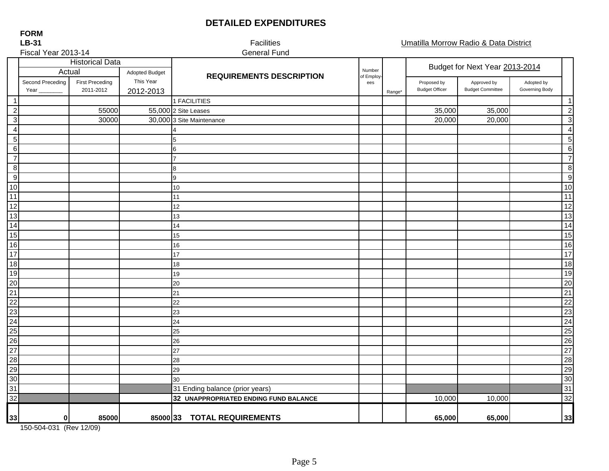## **DETAILED EXPENDITURES**

| LB-31                                                 |                          |                                     |                        | Facilities                            |                  |        |                                      | Umatilla Morrow Radio & Data District  |                              |                  |
|-------------------------------------------------------|--------------------------|-------------------------------------|------------------------|---------------------------------------|------------------|--------|--------------------------------------|----------------------------------------|------------------------------|------------------|
| Fiscal Year 2013-14                                   |                          |                                     |                        | <b>General Fund</b>                   |                  |        |                                      |                                        |                              |                  |
|                                                       | Actual                   | <b>Historical Data</b>              | <b>Adopted Budget</b>  |                                       | Number           |        | Budget for Next Year 2013-2014       |                                        |                              |                  |
|                                                       | Second Preceding<br>Year | <b>First Preceding</b><br>2011-2012 | This Year<br>2012-2013 | <b>REQUIREMENTS DESCRIPTION</b>       | of Employ<br>ees | Range* | Proposed by<br><b>Budget Officer</b> | Approved by<br><b>Budget Committee</b> | Adopted by<br>Governing Body |                  |
| -1                                                    |                          |                                     |                        | 1 FACILITIES                          |                  |        |                                      |                                        |                              | $\mathbf 1$      |
| $\overline{c}$                                        |                          | 55000                               |                        | 55,000 2 Site Leases                  |                  |        | 35,000                               | 35,000                                 |                              | $\overline{2}$   |
| $\mathbf{3}$                                          |                          | 30000                               |                        | 30,000 3 Site Maintenance             |                  |        | 20,000                               | 20,000                                 |                              | $\sqrt{3}$       |
| $\overline{4}$                                        |                          |                                     |                        |                                       |                  |        |                                      |                                        |                              | $\overline{4}$   |
| 5                                                     |                          |                                     |                        | 5                                     |                  |        |                                      |                                        |                              | $\mathbf 5$      |
| $\,6\,$                                               |                          |                                     |                        | 6                                     |                  |        |                                      |                                        |                              | 6                |
| $\overline{7}$                                        |                          |                                     |                        |                                       |                  |        |                                      |                                        |                              | $\overline{7}$   |
| 8                                                     |                          |                                     |                        | 8                                     |                  |        |                                      |                                        |                              | $\bf 8$          |
| $\boldsymbol{9}$                                      |                          |                                     |                        | 9                                     |                  |        |                                      |                                        |                              | $\boldsymbol{9}$ |
| 10                                                    |                          |                                     |                        | 10                                    |                  |        |                                      |                                        |                              | 10               |
| 11                                                    |                          |                                     |                        | 11                                    |                  |        |                                      |                                        |                              | 11               |
|                                                       |                          |                                     |                        | 12                                    |                  |        |                                      |                                        |                              | 12               |
|                                                       |                          |                                     |                        | 13                                    |                  |        |                                      |                                        |                              | 13               |
|                                                       |                          |                                     |                        | 14                                    |                  |        |                                      |                                        |                              | 14               |
| $\frac{12}{13}$<br>$\frac{13}{15}$<br>$\frac{15}{16}$ |                          |                                     |                        | 15                                    |                  |        |                                      |                                        |                              | 15               |
|                                                       |                          |                                     |                        | 16                                    |                  |        |                                      |                                        |                              | 16               |
|                                                       |                          |                                     |                        | 17                                    |                  |        |                                      |                                        |                              | 17               |
|                                                       |                          |                                     |                        | 18                                    |                  |        |                                      |                                        |                              | 18               |
|                                                       |                          |                                     |                        | 19                                    |                  |        |                                      |                                        |                              | 19               |
|                                                       |                          |                                     |                        | 20                                    |                  |        |                                      |                                        |                              | 20               |
|                                                       |                          |                                     |                        | 21                                    |                  |        |                                      |                                        |                              | $\overline{21}$  |
|                                                       |                          |                                     |                        | 22                                    |                  |        |                                      |                                        |                              | 22               |
|                                                       |                          |                                     |                        | 23                                    |                  |        |                                      |                                        |                              | 23               |
|                                                       |                          |                                     |                        | 24                                    |                  |        |                                      |                                        |                              | $\overline{24}$  |
|                                                       |                          |                                     |                        | 25                                    |                  |        |                                      |                                        |                              | 25               |
| 17 18 19 20 21 22 23 24 25 26 27 28 29 30 31          |                          |                                     |                        | 26                                    |                  |        |                                      |                                        |                              | 26               |
|                                                       |                          |                                     |                        | 27                                    |                  |        |                                      |                                        |                              | 27               |
|                                                       |                          |                                     |                        | 28                                    |                  |        |                                      |                                        |                              | 28               |
|                                                       |                          |                                     |                        | 29                                    |                  |        |                                      |                                        |                              | 29               |
|                                                       |                          |                                     |                        | 30                                    |                  |        |                                      |                                        |                              | 30               |
|                                                       |                          |                                     |                        | 31 Ending balance (prior years)       |                  |        |                                      |                                        |                              | 31               |
| 32                                                    |                          |                                     |                        | 32 UNAPPROPRIATED ENDING FUND BALANCE |                  |        | 10,000                               | 10,000                                 |                              | 32               |
| 33                                                    | $\pmb{0}$                | 85000                               |                        | 85000 33 TOTAL REQUIREMENTS           |                  |        | 65,000                               | 65,000                                 |                              | 33               |

150-504-031 (Rev 12/09)

**FORMLB-31**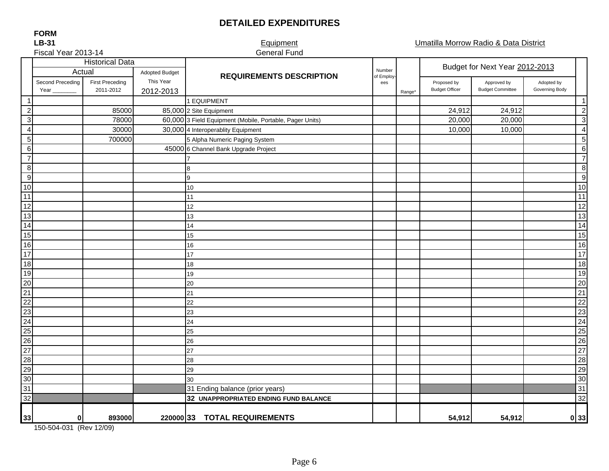## **DETAILED EXPENDITURES**

Equipment Umatilla Morrow Radio & Data District

| Fiscal Year 2013-14                                |                          |                                     |                                                 | <b>General Fund</b>                                      |                   |                                |                                      |                                        |                              |                         |
|----------------------------------------------------|--------------------------|-------------------------------------|-------------------------------------------------|----------------------------------------------------------|-------------------|--------------------------------|--------------------------------------|----------------------------------------|------------------------------|-------------------------|
| Actual                                             |                          | <b>Historical Data</b>              |                                                 | Number                                                   |                   | Budget for Next Year 2012-2013 |                                      |                                        |                              |                         |
|                                                    | Second Preceding<br>Year | <b>First Preceding</b><br>2011-2012 | <b>Adopted Budget</b><br>This Year<br>2012-2013 | <b>REQUIREMENTS DESCRIPTION</b>                          | of Employ-<br>ees | Range*                         | Proposed by<br><b>Budget Officer</b> | Approved by<br><b>Budget Committee</b> | Adopted by<br>Governing Body |                         |
| $\overline{1}$                                     |                          |                                     |                                                 | 1 EQUIPMENT                                              |                   |                                |                                      |                                        |                              | $\overline{\mathbf{1}}$ |
| $\overline{c}$                                     |                          | 85000                               |                                                 | 85,000 2 Site Equipment                                  |                   |                                | 24,912                               | 24,912                                 |                              | $\overline{2}$          |
| $\overline{3}$                                     |                          | 78000                               |                                                 | 60,000 3 Field Equipment (Mobile, Portable, Pager Units) |                   |                                | 20,000                               | 20,000                                 |                              | 3                       |
| $\overline{4}$                                     |                          | 30000                               |                                                 | 30,000 4 Interoperablity Equipment                       |                   |                                | 10,000                               | 10,000                                 |                              | $\overline{4}$          |
| $\overline{5}$                                     |                          | 700000                              |                                                 | 5 Alpha Numeric Paging System                            |                   |                                |                                      |                                        |                              | 5                       |
|                                                    |                          |                                     |                                                 | 45000 6 Channel Bank Upgrade Project                     |                   |                                |                                      |                                        |                              | 6                       |
| $\frac{6}{7}$                                      |                          |                                     |                                                 |                                                          |                   |                                |                                      |                                        |                              | $\overline{7}$          |
| $\frac{8}{9}$                                      |                          |                                     |                                                 | 8                                                        |                   |                                |                                      |                                        |                              | 8                       |
|                                                    |                          |                                     |                                                 | 9                                                        |                   |                                |                                      |                                        |                              | 9                       |
| $\frac{10}{11}$                                    |                          |                                     |                                                 | 10                                                       |                   |                                |                                      |                                        |                              | 10                      |
|                                                    |                          |                                     |                                                 | 11                                                       |                   |                                |                                      |                                        |                              | 11                      |
|                                                    |                          |                                     |                                                 | 12                                                       |                   |                                |                                      |                                        |                              | 12                      |
| $\overline{13}$                                    |                          |                                     |                                                 | 13                                                       |                   |                                |                                      |                                        |                              | 13                      |
| $\overline{14}$                                    |                          |                                     |                                                 | 14                                                       |                   |                                |                                      |                                        |                              | 14                      |
| 15                                                 |                          |                                     |                                                 | 15                                                       |                   |                                |                                      |                                        |                              | 15                      |
|                                                    |                          |                                     |                                                 | 16                                                       |                   |                                |                                      |                                        |                              | 16                      |
|                                                    |                          |                                     |                                                 | 17                                                       |                   |                                |                                      |                                        |                              | 17                      |
|                                                    |                          |                                     |                                                 | 18                                                       |                   |                                |                                      |                                        |                              | 18                      |
|                                                    |                          |                                     |                                                 | 19                                                       |                   |                                |                                      |                                        |                              | 19                      |
|                                                    |                          |                                     |                                                 | 20                                                       |                   |                                |                                      |                                        |                              | 20                      |
|                                                    |                          |                                     |                                                 | 21                                                       |                   |                                |                                      |                                        |                              | 21                      |
|                                                    |                          |                                     |                                                 | 22                                                       |                   |                                |                                      |                                        |                              | $\overline{22}$         |
|                                                    |                          |                                     |                                                 | 23                                                       |                   |                                |                                      |                                        |                              | 23                      |
|                                                    |                          |                                     |                                                 | 24                                                       |                   |                                |                                      |                                        |                              | 24                      |
|                                                    |                          |                                     |                                                 | 25                                                       |                   |                                |                                      |                                        |                              | 25                      |
|                                                    |                          |                                     |                                                 | 26                                                       |                   |                                |                                      |                                        |                              | 26                      |
|                                                    |                          |                                     |                                                 | 27                                                       |                   |                                |                                      |                                        |                              | 27                      |
|                                                    |                          |                                     |                                                 | 28                                                       |                   |                                |                                      |                                        |                              | 28                      |
|                                                    |                          |                                     |                                                 | 29                                                       |                   |                                |                                      |                                        |                              | 29                      |
|                                                    |                          |                                     |                                                 | 30                                                       |                   |                                |                                      |                                        |                              | 30                      |
|                                                    |                          |                                     |                                                 | 31 Ending balance (prior years)                          |                   |                                |                                      |                                        |                              | 31                      |
| 16 17 18 19 20 11 22 23 24 25 26 27 28 29 30 31 32 |                          |                                     |                                                 | 32 UNAPPROPRIATED ENDING FUND BALANCE                    |                   |                                |                                      |                                        |                              | $\frac{32}{2}$          |
| 33                                                 | $\bf{0}$                 | 893000                              |                                                 | 220000 33 TOTAL REQUIREMENTS                             |                   |                                | 54,912                               | 54,912                                 |                              | 0 <sup>33</sup>         |

150-504-031 (Rev 12/09)

**FORM**

# **LB-31**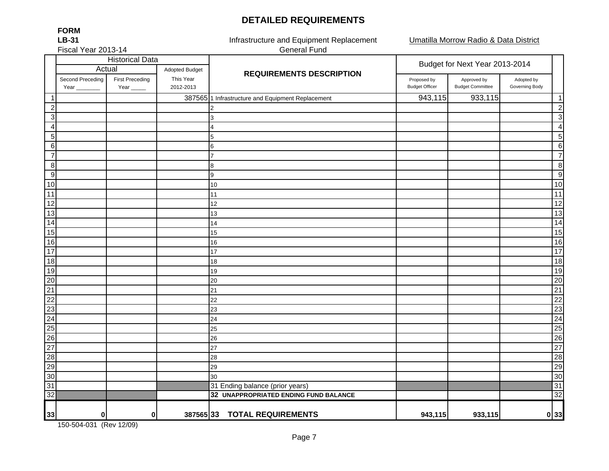## **DETAILED REQUIREMENTS**

Umatilla Morrow Radio & Data District

Fiscal Year 2013-14

**FORMLB-31**

Infrastructure and Equipment Replacement General Fund

|                  |                          | <b>Historical Data</b>         |                        |                                                   | Budget for Next Year 2013-2014       |                                        |                              |                 |  |
|------------------|--------------------------|--------------------------------|------------------------|---------------------------------------------------|--------------------------------------|----------------------------------------|------------------------------|-----------------|--|
|                  | Actual                   |                                | Adopted Budget         | <b>REQUIREMENTS DESCRIPTION</b>                   |                                      |                                        |                              |                 |  |
|                  | Second Preceding<br>Year | <b>First Preceding</b><br>Year | This Year<br>2012-2013 |                                                   | Proposed by<br><b>Budget Officer</b> | Approved by<br><b>Budget Committee</b> | Adopted by<br>Governing Body |                 |  |
| $\overline{1}$   |                          |                                |                        | 387565 1 Infrastructure and Equipment Replacement | 943,115                              | 933,115                                |                              | $\overline{1}$  |  |
| $\overline{2}$   |                          |                                |                        | 2                                                 |                                      |                                        |                              | $\overline{c}$  |  |
| $\mathbf{3}$     |                          |                                |                        | 3                                                 |                                      |                                        |                              | 3               |  |
| $\overline{4}$   |                          |                                |                        | 4                                                 |                                      |                                        |                              | $\overline{4}$  |  |
| $\overline{5}$   |                          |                                |                        | 5                                                 |                                      |                                        |                              | 5               |  |
| $\,6$            |                          |                                |                        | 6                                                 |                                      |                                        |                              | 6               |  |
| $\overline{7}$   |                          |                                |                        | 7                                                 |                                      |                                        |                              | $\overline{7}$  |  |
| $\boldsymbol{8}$ |                          |                                |                        | 8                                                 |                                      |                                        |                              | 8               |  |
| $\boldsymbol{9}$ |                          |                                |                        | 9                                                 |                                      |                                        |                              | 9               |  |
| 10               |                          |                                |                        | 10                                                |                                      |                                        |                              | 10              |  |
| $\overline{11}$  |                          |                                |                        | 11                                                |                                      |                                        |                              | 11              |  |
| 12               |                          |                                |                        | 12                                                |                                      |                                        |                              | $\overline{12}$ |  |
| 13               |                          |                                |                        | 13                                                |                                      |                                        |                              | 13              |  |
| $\overline{14}$  |                          |                                |                        | 14                                                |                                      |                                        |                              | 14              |  |
| $\overline{15}$  |                          |                                |                        | 15                                                |                                      |                                        |                              | 15              |  |
| 16               |                          |                                |                        | 16                                                |                                      |                                        |                              | 16              |  |
| $\frac{1}{17}$   |                          |                                |                        | 17                                                |                                      |                                        |                              | 17              |  |
| $\overline{18}$  |                          |                                |                        | 18                                                |                                      |                                        |                              | 18              |  |
| 19               |                          |                                |                        | 19                                                |                                      |                                        |                              | 19              |  |
| $\overline{20}$  |                          |                                |                        | 20                                                |                                      |                                        |                              | 20              |  |
| $\overline{21}$  |                          |                                |                        | 21                                                |                                      |                                        |                              | 21              |  |
| $\overline{22}$  |                          |                                |                        | 22                                                |                                      |                                        |                              | 22              |  |
| $\frac{23}{24}$  |                          |                                |                        | 23                                                |                                      |                                        |                              | 23              |  |
|                  |                          |                                |                        | 24                                                |                                      |                                        |                              | 24              |  |
| $\frac{25}{25}$  |                          |                                |                        | 25                                                |                                      |                                        |                              | 25              |  |
|                  |                          |                                |                        | 26                                                |                                      |                                        |                              | 26              |  |
| $\overline{27}$  |                          |                                |                        | 27                                                |                                      |                                        |                              | $\overline{27}$ |  |
| $\overline{28}$  |                          |                                |                        | 28                                                |                                      |                                        |                              | 28              |  |
| 29               |                          |                                |                        | 29                                                |                                      |                                        |                              | 29              |  |
| 30               |                          |                                |                        | 30                                                |                                      |                                        |                              | 30              |  |
| 31               |                          |                                |                        | 31 Ending balance (prior years)                   |                                      |                                        |                              | 31              |  |
| $\overline{32}$  |                          |                                |                        | 32 UNAPPROPRIATED ENDING FUND BALANCE             |                                      |                                        |                              | 32              |  |
| 33               | 0                        | 0                              | 387565 33              | <b>TOTAL REQUIREMENTS</b>                         | 943,115                              | 933,115                                |                              | 0 33            |  |

150-504-031 (Rev 12/09)